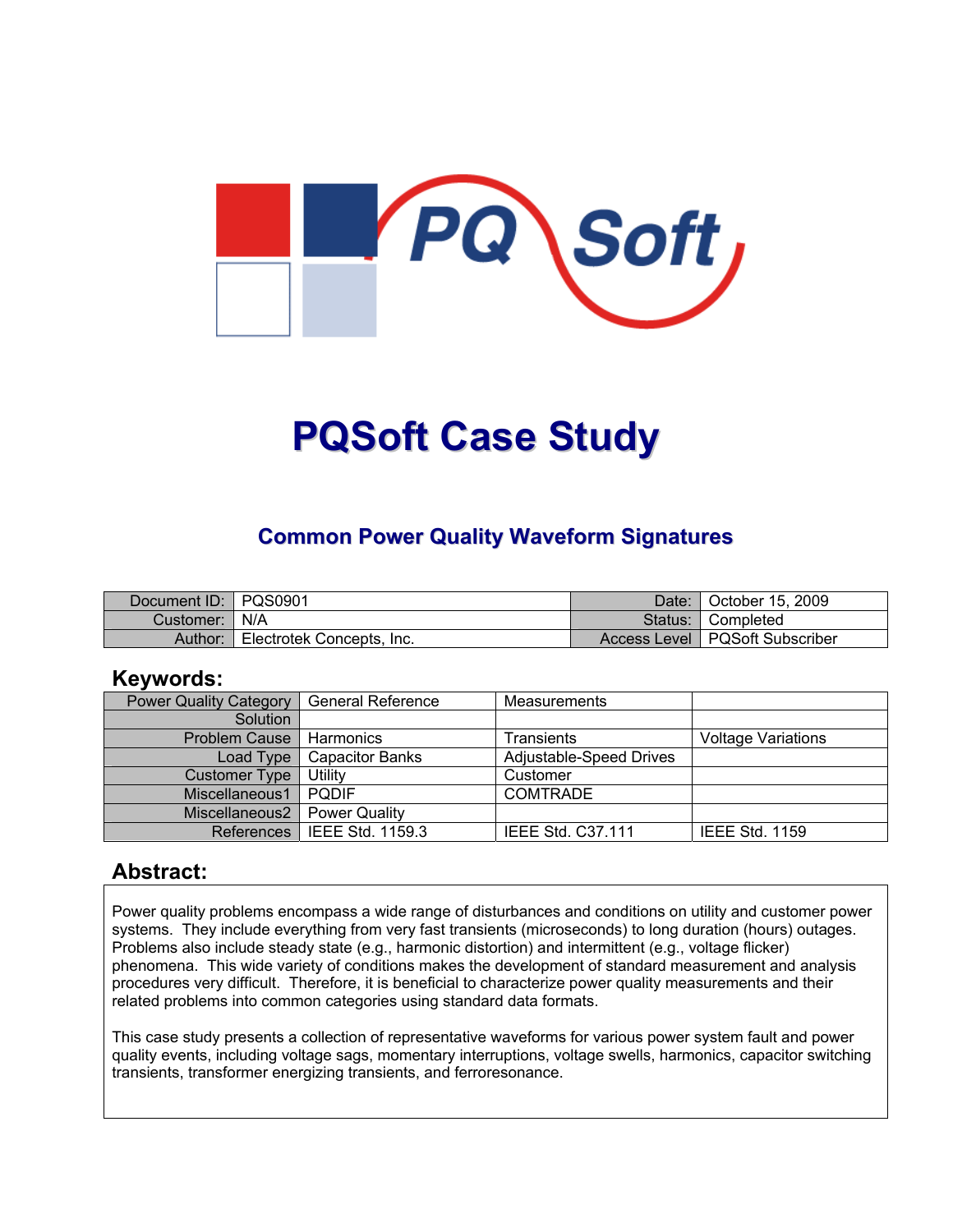

# **PQSoft Case Study**

#### **Common Power Quality Waveform Signatures**

| Document ID:   PQS0901 |                           | Date: | October 15, 2009                 |
|------------------------|---------------------------|-------|----------------------------------|
| Customer:   N/A        |                           |       | Status: Completed                |
| Author:                | Electrotek Concepts, Inc. |       | Access Level   PQSoft Subscriber |

#### **Keywords:**

| <b>Power Quality Category</b> | <b>General Reference</b>      | <b>Measurements</b>      |                           |
|-------------------------------|-------------------------------|--------------------------|---------------------------|
| Solution                      |                               |                          |                           |
| <b>Problem Cause</b>          | Harmonics                     | Transients               | <b>Voltage Variations</b> |
| Load Type                     | <b>Capacitor Banks</b>        | Adjustable-Speed Drives  |                           |
| <b>Customer Type</b>          | Utility                       | Customer                 |                           |
| Miscellaneous1                | <b>PODIF</b>                  | <b>COMTRADE</b>          |                           |
| Miscellaneous2                | <b>Power Quality</b>          |                          |                           |
|                               | References   IEEE Std. 1159.3 | <b>IEEE Std. C37.111</b> | <b>IEEE Std. 1159</b>     |

#### **Abstract:**

Power quality problems encompass a wide range of disturbances and conditions on utility and customer power systems. They include everything from very fast transients (microseconds) to long duration (hours) outages. Problems also include steady state (e.g., harmonic distortion) and intermittent (e.g., voltage flicker) phenomena. This wide variety of conditions makes the development of standard measurement and analysis procedures very difficult. Therefore, it is beneficial to characterize power quality measurements and their related problems into common categories using standard data formats.

This case study presents a collection of representative waveforms for various power system fault and power quality events, including voltage sags, momentary interruptions, voltage swells, harmonics, capacitor switching transients, transformer energizing transients, and ferroresonance.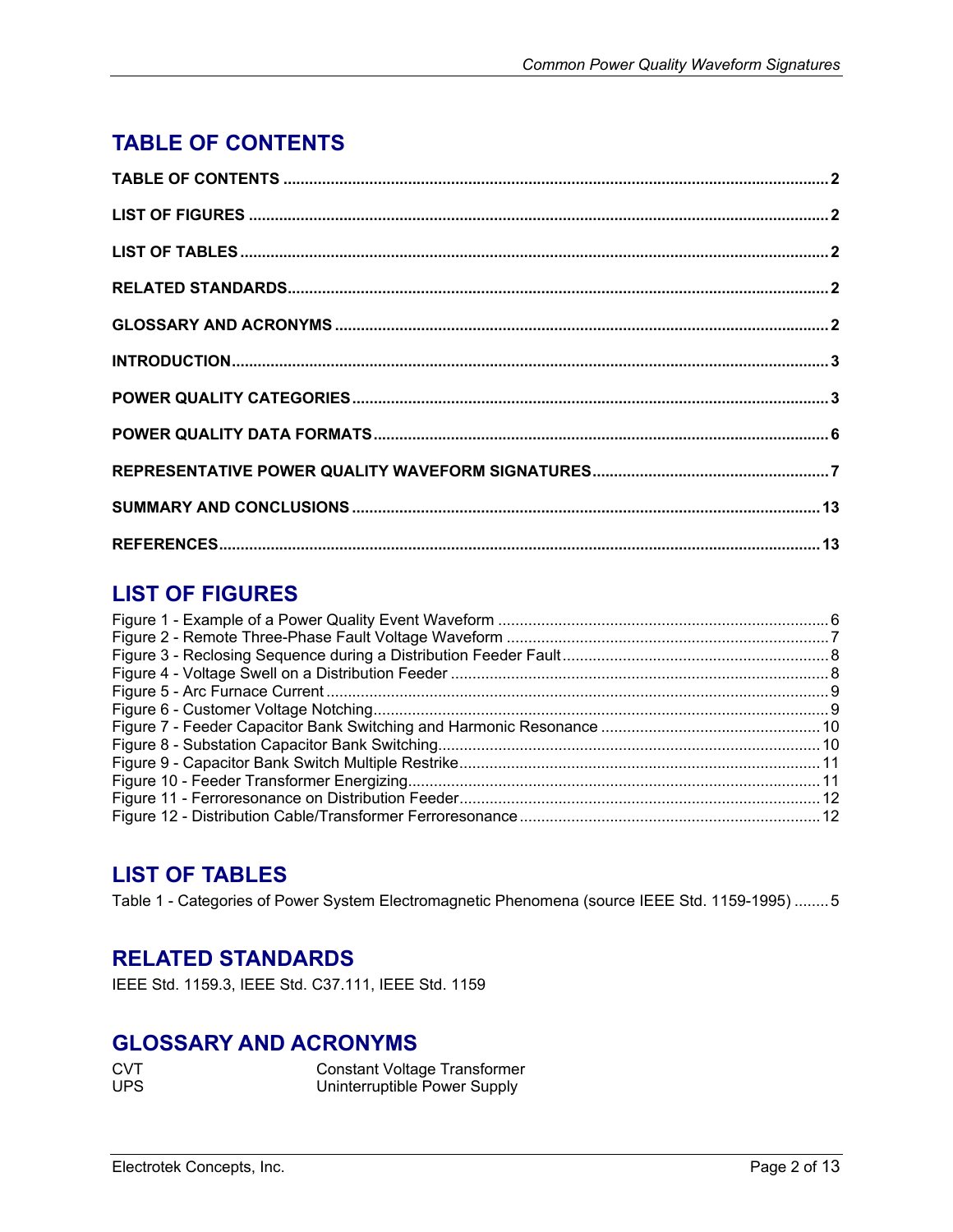# <span id="page-1-0"></span>**TABLE OF CONTENTS**

### **LIST OF FIGURES**

## **LIST OF TABLES**

[Table 1 - Categories of Power System Electromagnetic Phenomena \(source IEEE Std. 1159-1995\)](#page-4-0) ........5

#### **RELATED STANDARDS**

IEEE Std. 1159.3, IEEE Std. C37.111, IEEE Std. 1159

#### **GLOSSARY AND ACRONYMS**

| <b>CVT</b> | <b>Constant Voltage Transformer</b> |
|------------|-------------------------------------|
| <b>UPS</b> | Uninterruptible Power Supply        |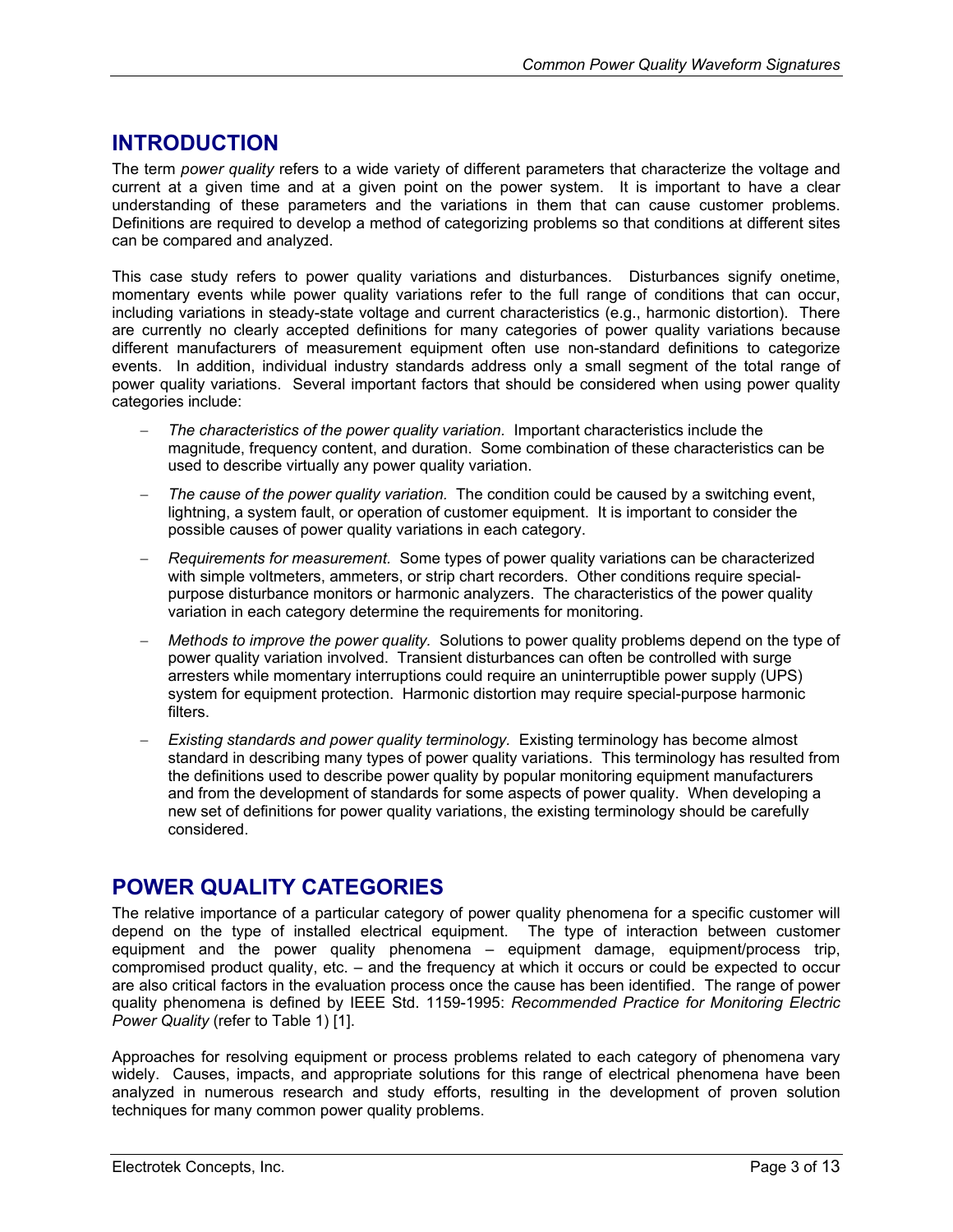#### <span id="page-2-0"></span>**INTRODUCTION**

The term *power quality* refers to a wide variety of different parameters that characterize the voltage and current at a given time and at a given point on the power system. It is important to have a clear understanding of these parameters and the variations in them that can cause customer problems. Definitions are required to develop a method of categorizing problems so that conditions at different sites can be compared and analyzed.

This case study refers to power quality variations and disturbances. Disturbances signify onetime, momentary events while power quality variations refer to the full range of conditions that can occur, including variations in steady-state voltage and current characteristics (e.g., harmonic distortion). There are currently no clearly accepted definitions for many categories of power quality variations because different manufacturers of measurement equipment often use non-standard definitions to categorize events. In addition, individual industry standards address only a small segment of the total range of power quality variations. Several important factors that should be considered when using power quality categories include:

- − *The characteristics of the power quality variation.* Important characteristics include the magnitude, frequency content, and duration. Some combination of these characteristics can be used to describe virtually any power quality variation.
- − *The cause of the power quality variation.* The condition could be caused by a switching event, lightning, a system fault, or operation of customer equipment. It is important to consider the possible causes of power quality variations in each category.
- − *Requirements for measurement.* Some types of power quality variations can be characterized with simple voltmeters, ammeters, or strip chart recorders. Other conditions require specialpurpose disturbance monitors or harmonic analyzers. The characteristics of the power quality variation in each category determine the requirements for monitoring.
- − *Methods to improve the power quality.* Solutions to power quality problems depend on the type of power quality variation involved. Transient disturbances can often be controlled with surge arresters while momentary interruptions could require an uninterruptible power supply (UPS) system for equipment protection. Harmonic distortion may require special-purpose harmonic filters.
- − *Existing standards and power quality terminology.* Existing terminology has become almost standard in describing many types of power quality variations. This terminology has resulted from the definitions used to describe power quality by popular monitoring equipment manufacturers and from the development of standards for some aspects of power quality. When developing a new set of definitions for power quality variations, the existing terminology should be carefully considered.

#### **POWER QUALITY CATEGORIES**

The relative importance of a particular category of power quality phenomena for a specific customer will depend on the type of installed electrical equipment. The type of interaction between customer equipment and the power quality phenomena – equipment damage, equipment/process trip, compromised product quality, etc. – and the frequency at which it occurs or could be expected to occur are also critical factors in the evaluation process once the cause has been identified. The range of power quality phenomena is defined by IEEE Std. 1159-1995: *Recommended Practice for Monitoring Electric Power Quality* (refer to [Table 1\)](#page-4-1) [1].

Approaches for resolving equipment or process problems related to each category of phenomena vary widely. Causes, impacts, and appropriate solutions for this range of electrical phenomena have been analyzed in numerous research and study efforts, resulting in the development of proven solution techniques for many common power quality problems.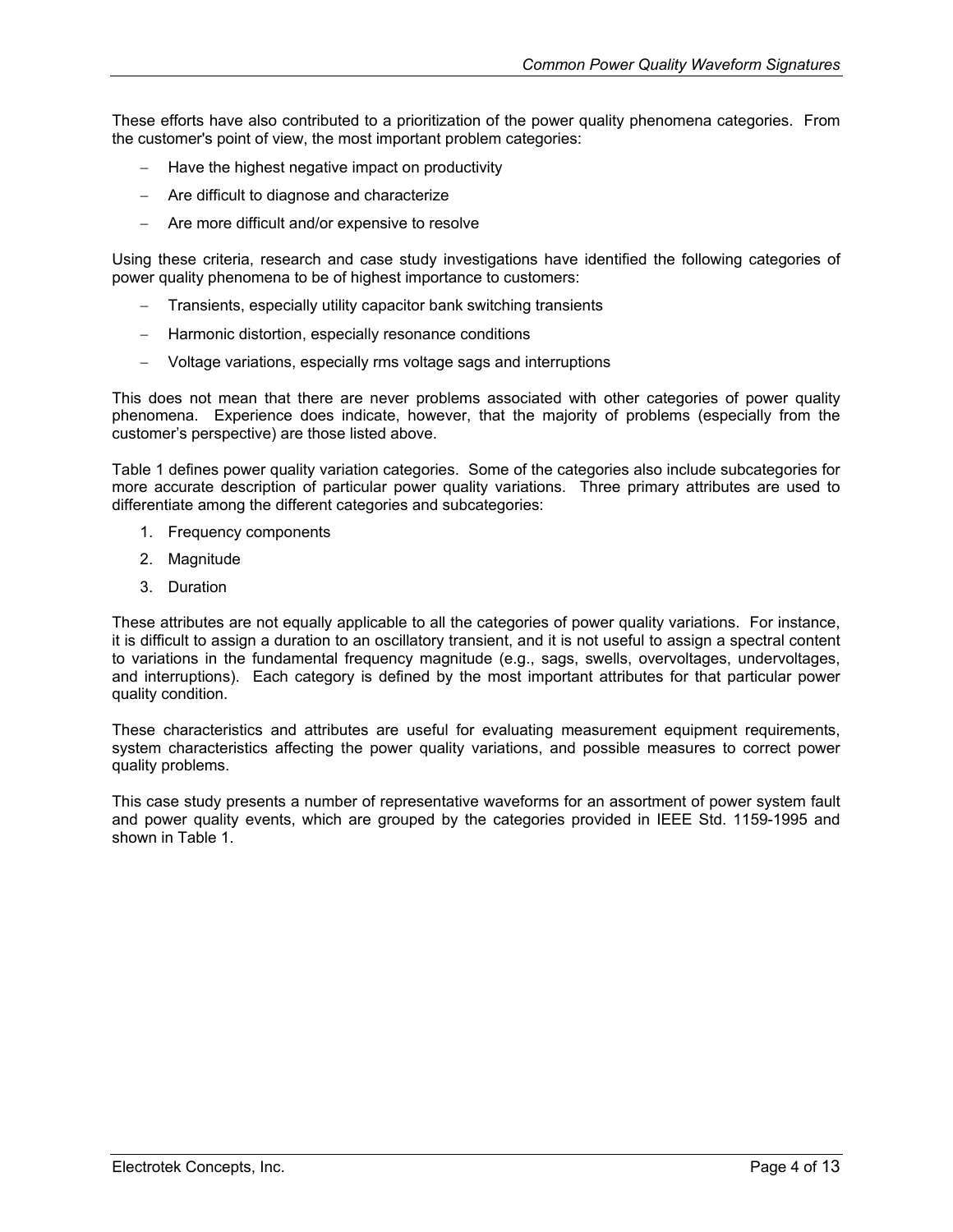These efforts have also contributed to a prioritization of the power quality phenomena categories. From the customer's point of view, the most important problem categories:

- − Have the highest negative impact on productivity
- − Are difficult to diagnose and characterize
- − Are more difficult and/or expensive to resolve

Using these criteria, research and case study investigations have identified the following categories of power quality phenomena to be of highest importance to customers:

- Transients, especially utility capacitor bank switching transients
- − Harmonic distortion, especially resonance conditions
- − Voltage variations, especially rms voltage sags and interruptions

This does not mean that there are never problems associated with other categories of power quality phenomena. Experience does indicate, however, that the majority of problems (especially from the customer's perspective) are those listed above.

[Table 1](#page-4-1) defines power quality variation categories. Some of the categories also include subcategories for more accurate description of particular power quality variations. Three primary attributes are used to differentiate among the different categories and subcategories:

- 1. Frequency components
- 2. Magnitude
- 3. Duration

These attributes are not equally applicable to all the categories of power quality variations. For instance, it is difficult to assign a duration to an oscillatory transient, and it is not useful to assign a spectral content to variations in the fundamental frequency magnitude (e.g., sags, swells, overvoltages, undervoltages, and interruptions). Each category is defined by the most important attributes for that particular power quality condition.

These characteristics and attributes are useful for evaluating measurement equipment requirements, system characteristics affecting the power quality variations, and possible measures to correct power quality problems.

This case study presents a number of representative waveforms for an assortment of power system fault and power quality events, which are grouped by the categories provided in IEEE Std. 1159-1995 and shown in [Table 1.](#page-4-1)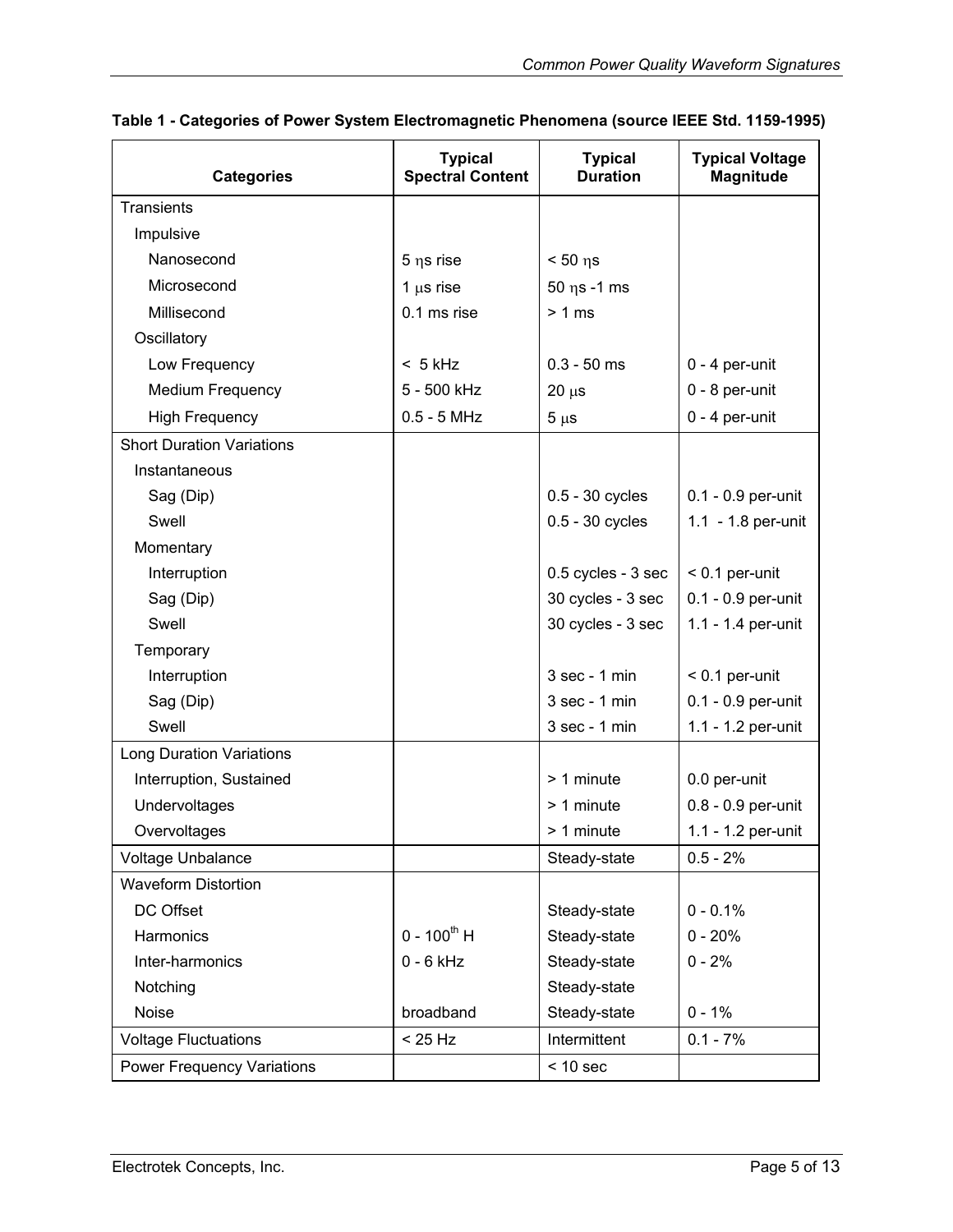| <b>Categories</b>                 | <b>Typical</b><br><b>Spectral Content</b> | <b>Typical</b><br><b>Duration</b> | <b>Typical Voltage</b><br><b>Magnitude</b> |  |
|-----------------------------------|-------------------------------------------|-----------------------------------|--------------------------------------------|--|
| <b>Transients</b>                 |                                           |                                   |                                            |  |
| Impulsive                         |                                           |                                   |                                            |  |
| Nanosecond                        | 5 ns rise                                 | $< 50$ $\eta s$                   |                                            |  |
| Microsecond                       | 1 $\mu$ s rise                            | $50$ $\eta$ s -1 ms               |                                            |  |
| Millisecond                       | 0.1 ms rise                               | > 1 ms                            |                                            |  |
| Oscillatory                       |                                           |                                   |                                            |  |
| Low Frequency                     | $< 5$ kHz                                 | $0.3 - 50$ ms                     | $0 - 4$ per-unit                           |  |
| Medium Frequency                  | 5 - 500 kHz                               | $20 \mu s$                        | $0 - 8$ per-unit                           |  |
| <b>High Frequency</b>             | $0.5 - 5$ MHz                             | $5 \mu s$                         | $0 - 4$ per-unit                           |  |
| <b>Short Duration Variations</b>  |                                           |                                   |                                            |  |
| Instantaneous                     |                                           |                                   |                                            |  |
| Sag (Dip)                         |                                           | 0.5 - 30 cycles                   | $0.1 - 0.9$ per-unit                       |  |
| Swell                             |                                           | 0.5 - 30 cycles                   | 1.1 - 1.8 per-unit                         |  |
| Momentary                         |                                           |                                   |                                            |  |
| Interruption                      |                                           | 0.5 cycles - 3 sec                | $< 0.1$ per-unit                           |  |
| Sag (Dip)                         |                                           | 30 cycles - 3 sec                 | 0.1 - 0.9 per-unit                         |  |
| Swell                             |                                           | 30 cycles - 3 sec                 | 1.1 - 1.4 per-unit                         |  |
| Temporary                         |                                           |                                   |                                            |  |
| Interruption                      |                                           | $3$ sec - 1 min                   | $< 0.1$ per-unit                           |  |
| Sag (Dip)                         |                                           | $3$ sec - 1 min                   | 0.1 - 0.9 per-unit                         |  |
| Swell                             |                                           | $3$ sec - 1 min                   | 1.1 - 1.2 per-unit                         |  |
| <b>Long Duration Variations</b>   |                                           |                                   |                                            |  |
| Interruption, Sustained           |                                           | > 1 minute                        | 0.0 per-unit                               |  |
| Undervoltages                     |                                           | > 1 minute                        | 0.8 - 0.9 per-unit                         |  |
| Overvoltages                      |                                           | > 1 minute                        | 1.1 - 1.2 per-unit                         |  |
| Voltage Unbalance                 |                                           | Steady-state                      | $0.5 - 2%$                                 |  |
| <b>Waveform Distortion</b>        |                                           |                                   |                                            |  |
| DC Offset                         |                                           | Steady-state                      | $0 - 0.1%$                                 |  |
| Harmonics                         | $0 - 100^{th}$ H                          | Steady-state<br>$0 - 20%$         |                                            |  |
| Inter-harmonics                   | $0 - 6$ kHz                               | Steady-state                      | $0 - 2%$                                   |  |
| Notching                          |                                           | Steady-state                      |                                            |  |
| Noise                             | broadband                                 | Steady-state<br>$0 - 1%$          |                                            |  |
| <b>Voltage Fluctuations</b>       | < 25 Hz                                   | Intermittent<br>$0.1 - 7%$        |                                            |  |
| <b>Power Frequency Variations</b> |                                           | $< 10$ sec                        |                                            |  |

<span id="page-4-1"></span><span id="page-4-0"></span>

|  |  | Table 1 - Categories of Power System Electromagnetic Phenomena (source IEEE Std. 1159-1995) |  |
|--|--|---------------------------------------------------------------------------------------------|--|
|  |  |                                                                                             |  |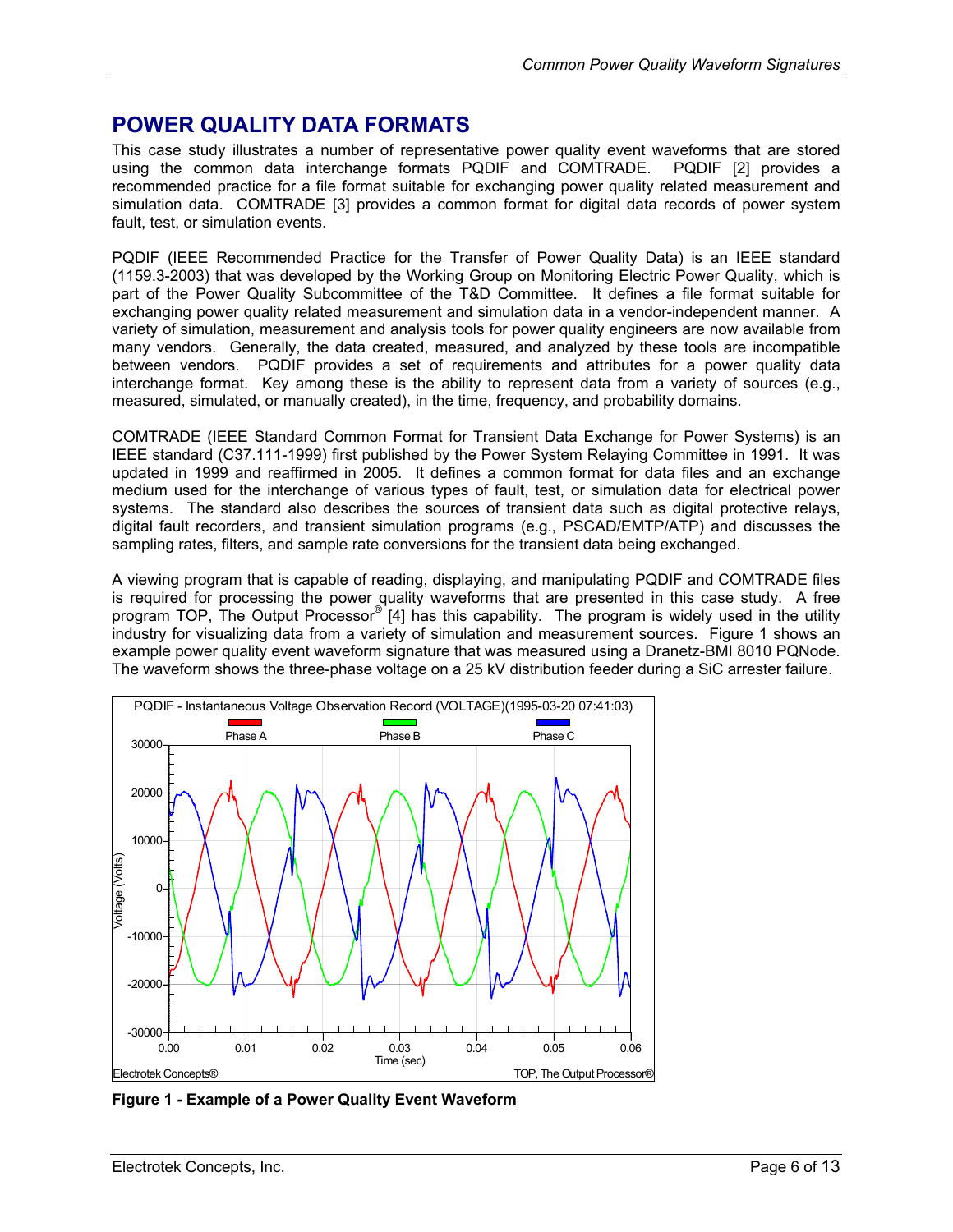#### <span id="page-5-0"></span>**POWER QUALITY DATA FORMATS**

This case study illustrates a number of representative power quality event waveforms that are stored using the common data interchange formats PQDIF and COMTRADE. PQDIF [2] provides a recommended practice for a file format suitable for exchanging power quality related measurement and simulation data. COMTRADE [3] provides a common format for digital data records of power system fault, test, or simulation events.

PQDIF (IEEE Recommended Practice for the Transfer of Power Quality Data) is an IEEE standard (1159.3-2003) that was developed by the Working Group on Monitoring Electric Power Quality, which is part of the Power Quality Subcommittee of the T&D Committee. It defines a file format suitable for exchanging power quality related measurement and simulation data in a vendor-independent manner. A variety of simulation, measurement and analysis tools for power quality engineers are now available from many vendors. Generally, the data created, measured, and analyzed by these tools are incompatible between vendors. PQDIF provides a set of requirements and attributes for a power quality data interchange format. Key among these is the ability to represent data from a variety of sources (e.g., measured, simulated, or manually created), in the time, frequency, and probability domains.

COMTRADE (IEEE Standard Common Format for Transient Data Exchange for Power Systems) is an IEEE standard (C37.111-1999) first published by the Power System Relaying Committee in 1991. It was updated in 1999 and reaffirmed in 2005. It defines a common format for data files and an exchange medium used for the interchange of various types of fault, test, or simulation data for electrical power systems. The standard also describes the sources of transient data such as digital protective relays, digital fault recorders, and transient simulation programs (e.g., PSCAD/EMTP/ATP) and discusses the sampling rates, filters, and sample rate conversions for the transient data being exchanged.

A viewing program that is capable of reading, displaying, and manipulating PQDIF and COMTRADE files is required for processing the power quality waveforms that are presented in this case study. A free program TOP, The Output Processor® [4] has this capability. The program is widely used in the utility industry for visualizing data from a variety of simulation and measurement sources. [Figure 1](#page-5-1) shows an example power quality event waveform signature that was measured using a Dranetz-BMI 8010 PQNode. The waveform shows the three-phase voltage on a 25 kV distribution feeder during a SiC arrester failure.

<span id="page-5-1"></span>

**Figure 1 - Example of a Power Quality Event Waveform**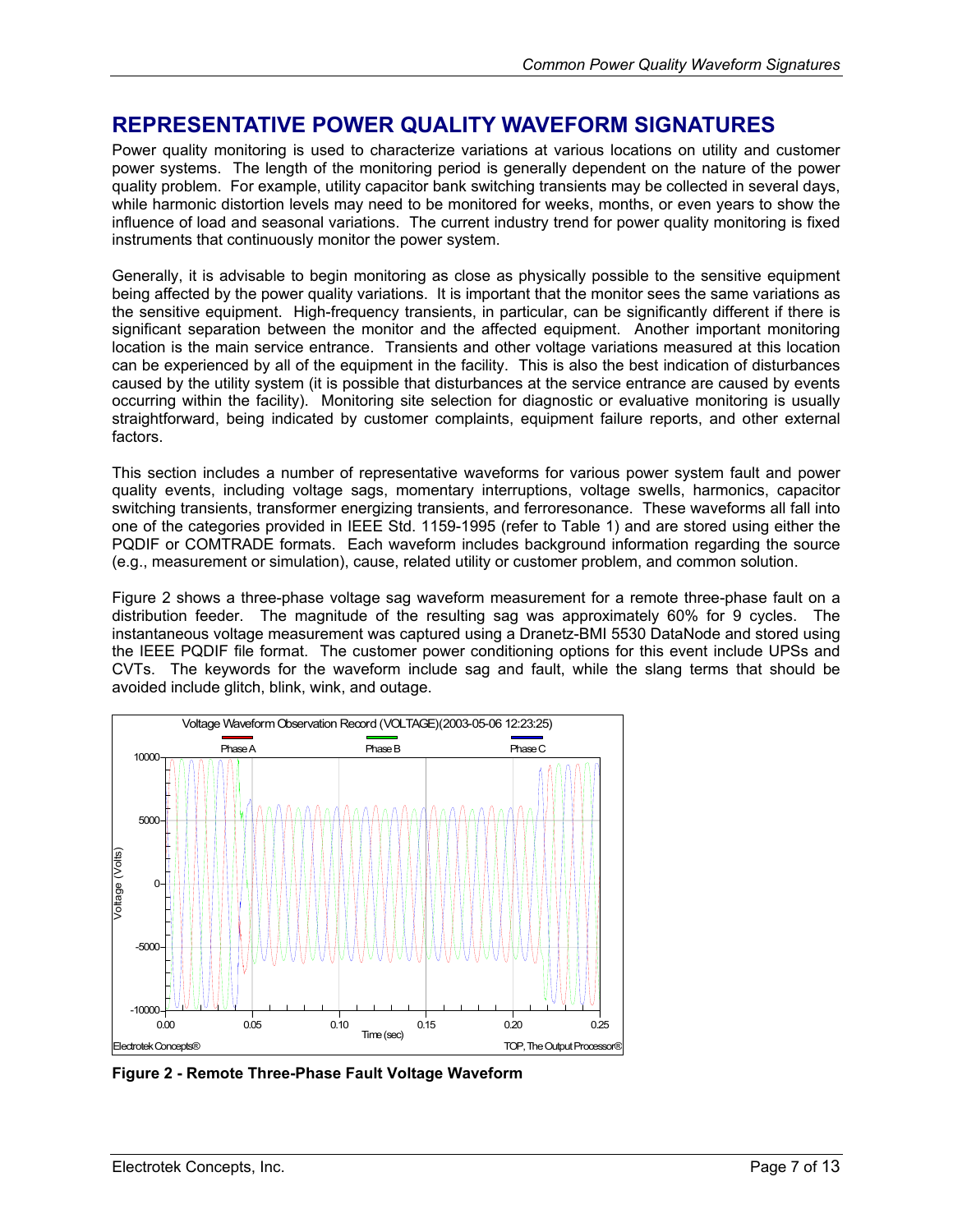#### <span id="page-6-0"></span>**REPRESENTATIVE POWER QUALITY WAVEFORM SIGNATURES**

Power quality monitoring is used to characterize variations at various locations on utility and customer power systems. The length of the monitoring period is generally dependent on the nature of the power quality problem. For example, utility capacitor bank switching transients may be collected in several days, while harmonic distortion levels may need to be monitored for weeks, months, or even years to show the influence of load and seasonal variations. The current industry trend for power quality monitoring is fixed instruments that continuously monitor the power system.

Generally, it is advisable to begin monitoring as close as physically possible to the sensitive equipment being affected by the power quality variations. It is important that the monitor sees the same variations as the sensitive equipment. High-frequency transients, in particular, can be significantly different if there is significant separation between the monitor and the affected equipment. Another important monitoring location is the main service entrance. Transients and other voltage variations measured at this location can be experienced by all of the equipment in the facility. This is also the best indication of disturbances caused by the utility system (it is possible that disturbances at the service entrance are caused by events occurring within the facility). Monitoring site selection for diagnostic or evaluative monitoring is usually straightforward, being indicated by customer complaints, equipment failure reports, and other external factors.

This section includes a number of representative waveforms for various power system fault and power quality events, including voltage sags, momentary interruptions, voltage swells, harmonics, capacitor switching transients, transformer energizing transients, and ferroresonance. These waveforms all fall into one of the categories provided in IEEE Std. 1159-1995 (refer to [Table 1\)](#page-4-1) and are stored using either the PQDIF or COMTRADE formats. Each waveform includes background information regarding the source (e.g., measurement or simulation), cause, related utility or customer problem, and common solution.

[Figure 2](#page-6-1) shows a three-phase voltage sag waveform measurement for a remote three-phase fault on a distribution feeder. The magnitude of the resulting sag was approximately 60% for 9 cycles. The instantaneous voltage measurement was captured using a Dranetz-BMI 5530 DataNode and stored using the IEEE PQDIF file format. The customer power conditioning options for this event include UPSs and CVTs. The keywords for the waveform include sag and fault, while the slang terms that should be avoided include glitch, blink, wink, and outage.

<span id="page-6-1"></span>

**Figure 2 - Remote Three-Phase Fault Voltage Waveform**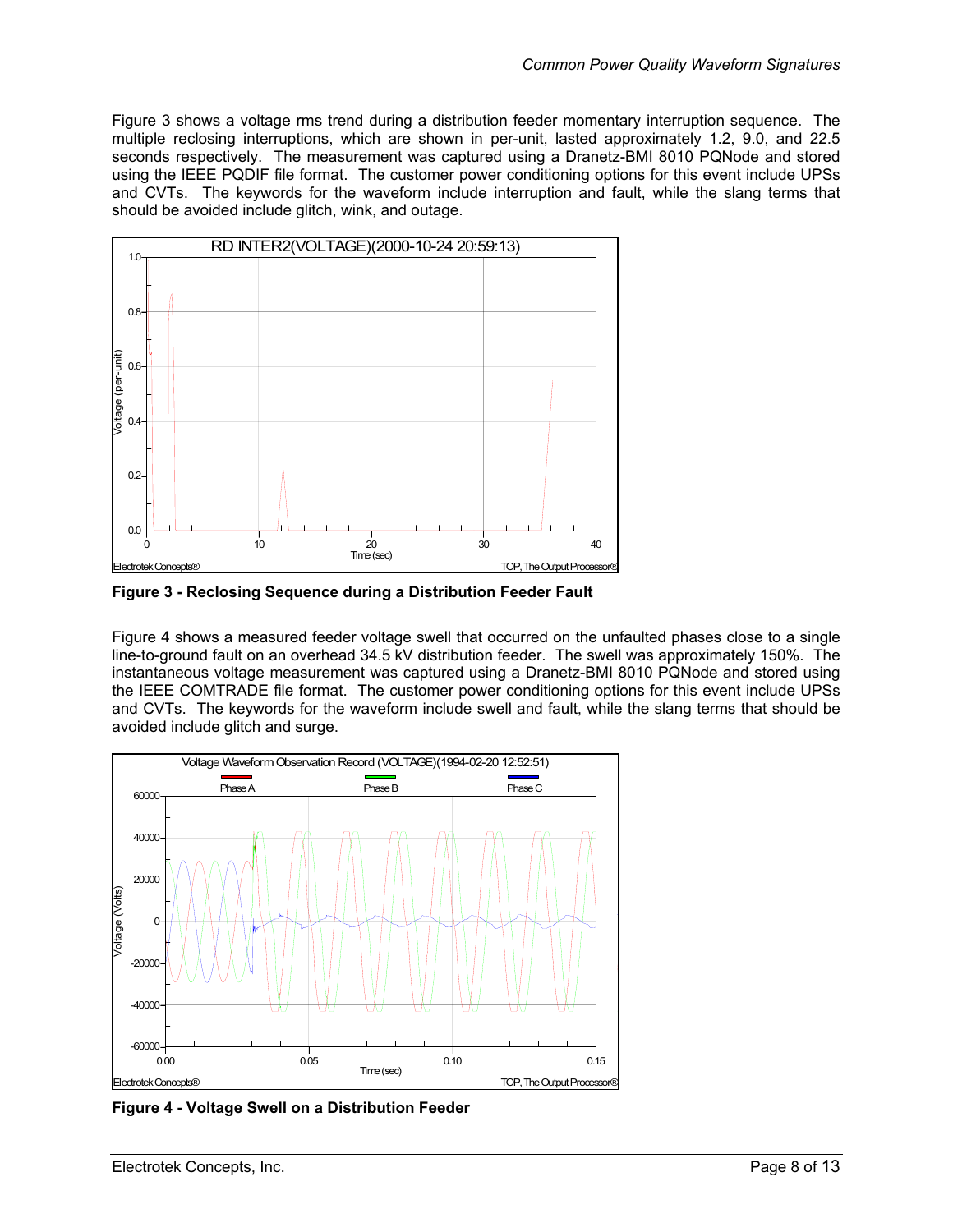<span id="page-7-0"></span>[Figure 3](#page-7-1) shows a voltage rms trend during a distribution feeder momentary interruption sequence. The multiple reclosing interruptions, which are shown in per-unit, lasted approximately 1.2, 9.0, and 22.5 seconds respectively. The measurement was captured using a Dranetz-BMI 8010 PQNode and stored using the IEEE PQDIF file format. The customer power conditioning options for this event include UPSs and CVTs. The keywords for the waveform include interruption and fault, while the slang terms that should be avoided include glitch, wink, and outage.

<span id="page-7-1"></span>

**Figure 3 - Reclosing Sequence during a Distribution Feeder Fault** 

[Figure 4](#page-7-2) shows a measured feeder voltage swell that occurred on the unfaulted phases close to a single line-to-ground fault on an overhead 34.5 kV distribution feeder. The swell was approximately 150%. The instantaneous voltage measurement was captured using a Dranetz-BMI 8010 PQNode and stored using the IEEE COMTRADE file format. The customer power conditioning options for this event include UPSs and CVTs. The keywords for the waveform include swell and fault, while the slang terms that should be avoided include glitch and surge.

<span id="page-7-2"></span>

**Figure 4 - Voltage Swell on a Distribution Feeder**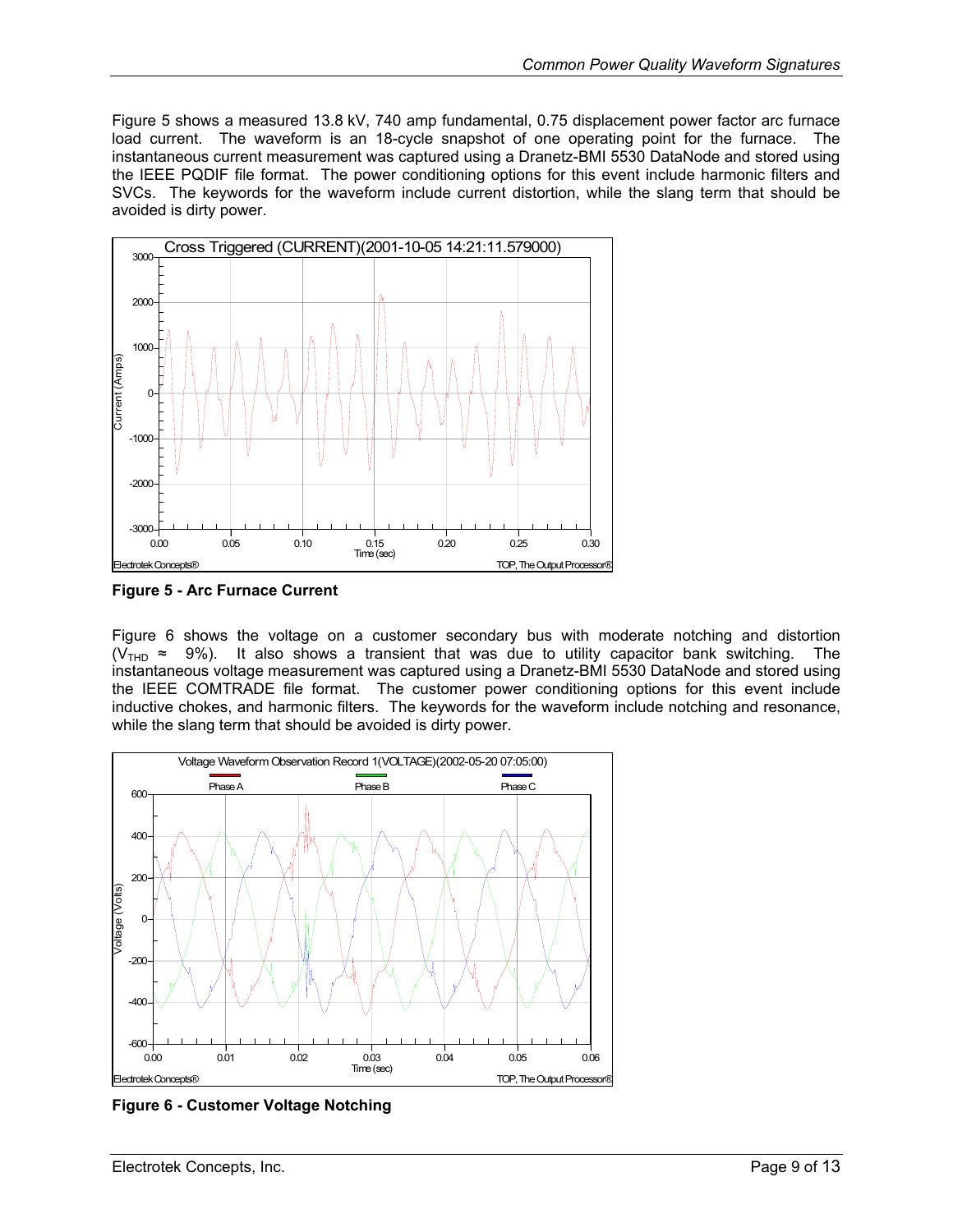<span id="page-8-0"></span>[Figure 5](#page-8-1) shows a measured 13.8 kV, 740 amp fundamental, 0.75 displacement power factor arc furnace load current. The waveform is an 18-cycle snapshot of one operating point for the furnace. The instantaneous current measurement was captured using a Dranetz-BMI 5530 DataNode and stored using the IEEE PQDIF file format. The power conditioning options for this event include harmonic filters and SVCs. The keywords for the waveform include current distortion, while the slang term that should be avoided is dirty power.

<span id="page-8-1"></span>

**Figure 5 - Arc Furnace Current** 

[Figure 6](#page-8-2) shows the voltage on a customer secondary bus with moderate notching and distortion  $(V_{\text{THD}} \approx 9\%)$ . It also shows a transient that was due to utility capacitor bank switching. The instantaneous voltage measurement was captured using a Dranetz-BMI 5530 DataNode and stored using the IEEE COMTRADE file format. The customer power conditioning options for this event include inductive chokes, and harmonic filters. The keywords for the waveform include notching and resonance, while the slang term that should be avoided is dirty power.

<span id="page-8-2"></span>

**Figure 6 - Customer Voltage Notching**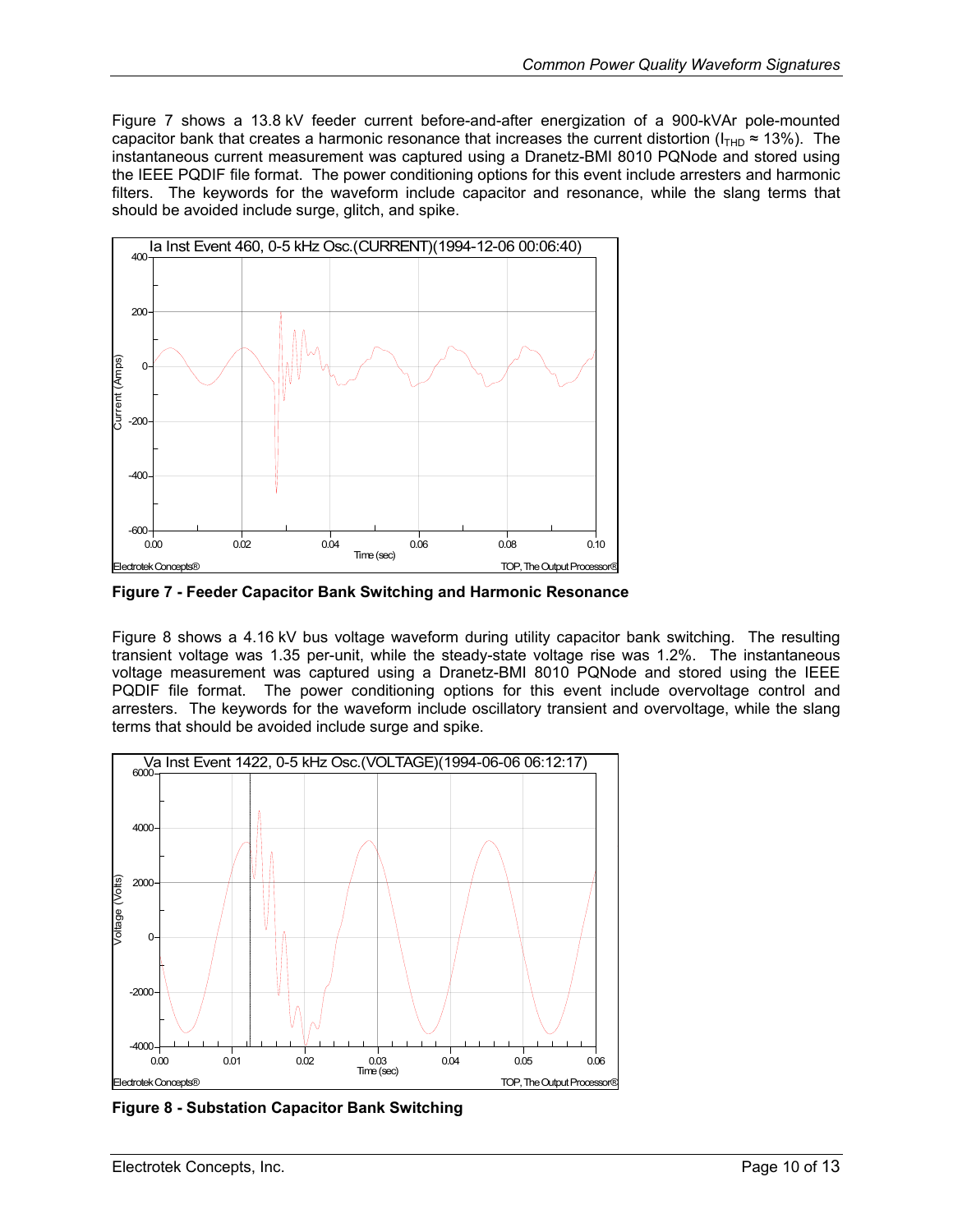<span id="page-9-0"></span>[Figure 7](#page-9-1) shows a 13.8 kV feeder current before-and-after energization of a 900-kVAr pole-mounted capacitor bank that creates a harmonic resonance that increases the current distortion ( $I_{THD} \approx 13\%$ ). The instantaneous current measurement was captured using a Dranetz-BMI 8010 PQNode and stored using the IEEE PQDIF file format. The power conditioning options for this event include arresters and harmonic filters. The keywords for the waveform include capacitor and resonance, while the slang terms that should be avoided include surge, glitch, and spike.

<span id="page-9-1"></span>

**Figure 7 - Feeder Capacitor Bank Switching and Harmonic Resonance** 

[Figure 8](#page-9-2) shows a 4.16 kV bus voltage waveform during utility capacitor bank switching. The resulting transient voltage was 1.35 per-unit, while the steady-state voltage rise was 1.2%. The instantaneous voltage measurement was captured using a Dranetz-BMI 8010 PQNode and stored using the IEEE PQDIF file format. The power conditioning options for this event include overvoltage control and arresters. The keywords for the waveform include oscillatory transient and overvoltage, while the slang terms that should be avoided include surge and spike.

<span id="page-9-2"></span>

**Figure 8 - Substation Capacitor Bank Switching**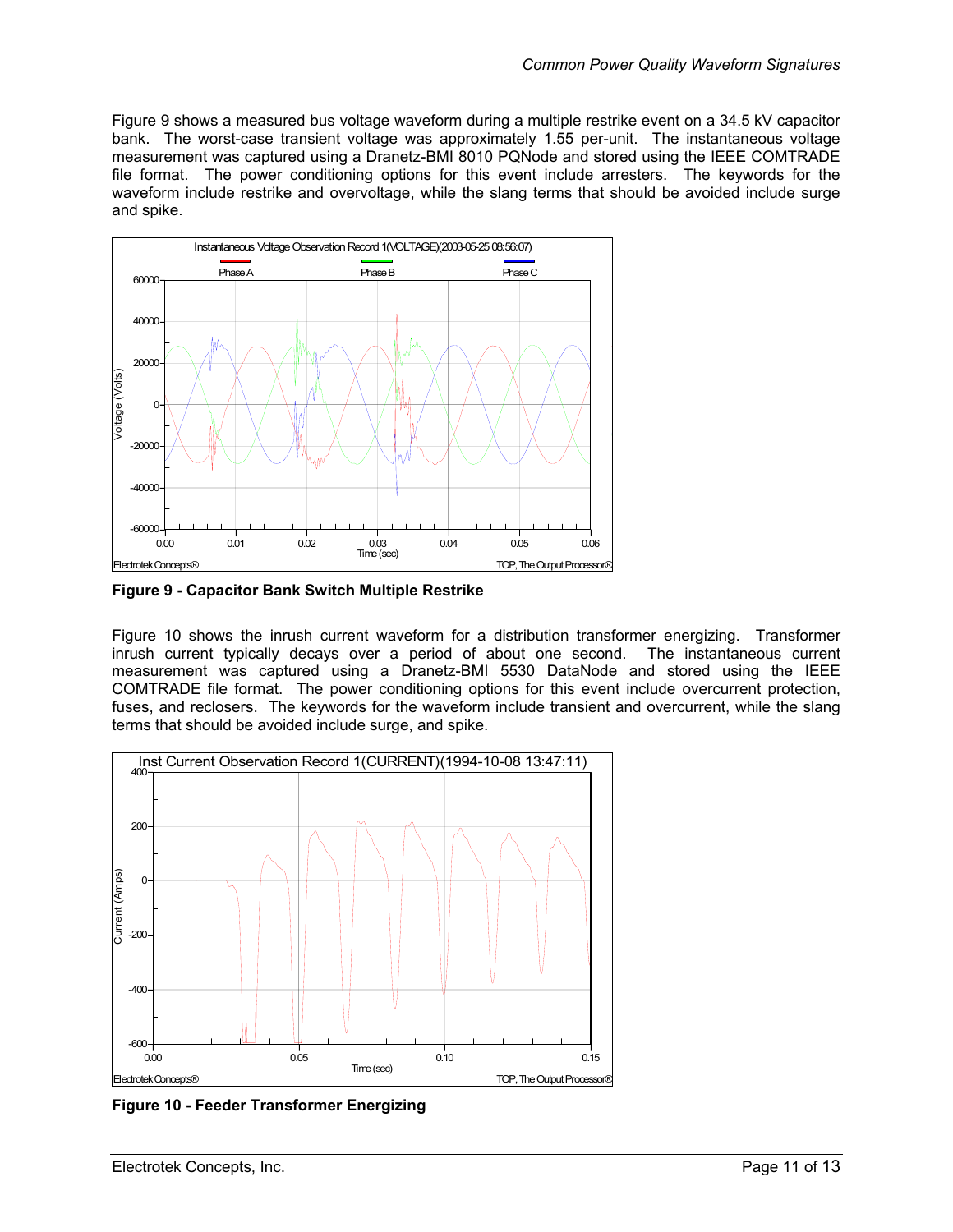<span id="page-10-0"></span>[Figure 9](#page-10-1) shows a measured bus voltage waveform during a multiple restrike event on a 34.5 kV capacitor bank. The worst-case transient voltage was approximately 1.55 per-unit. The instantaneous voltage measurement was captured using a Dranetz-BMI 8010 PQNode and stored using the IEEE COMTRADE file format. The power conditioning options for this event include arresters. The keywords for the waveform include restrike and overvoltage, while the slang terms that should be avoided include surge and spike.

<span id="page-10-1"></span>

**Figure 9 - Capacitor Bank Switch Multiple Restrike**

[Figure 10](#page-10-2) shows the inrush current waveform for a distribution transformer energizing. Transformer inrush current typically decays over a period of about one second. The instantaneous current measurement was captured using a Dranetz-BMI 5530 DataNode and stored using the IEEE COMTRADE file format. The power conditioning options for this event include overcurrent protection, fuses, and reclosers. The keywords for the waveform include transient and overcurrent, while the slang terms that should be avoided include surge, and spike.

<span id="page-10-2"></span>

**Figure 10 - Feeder Transformer Energizing**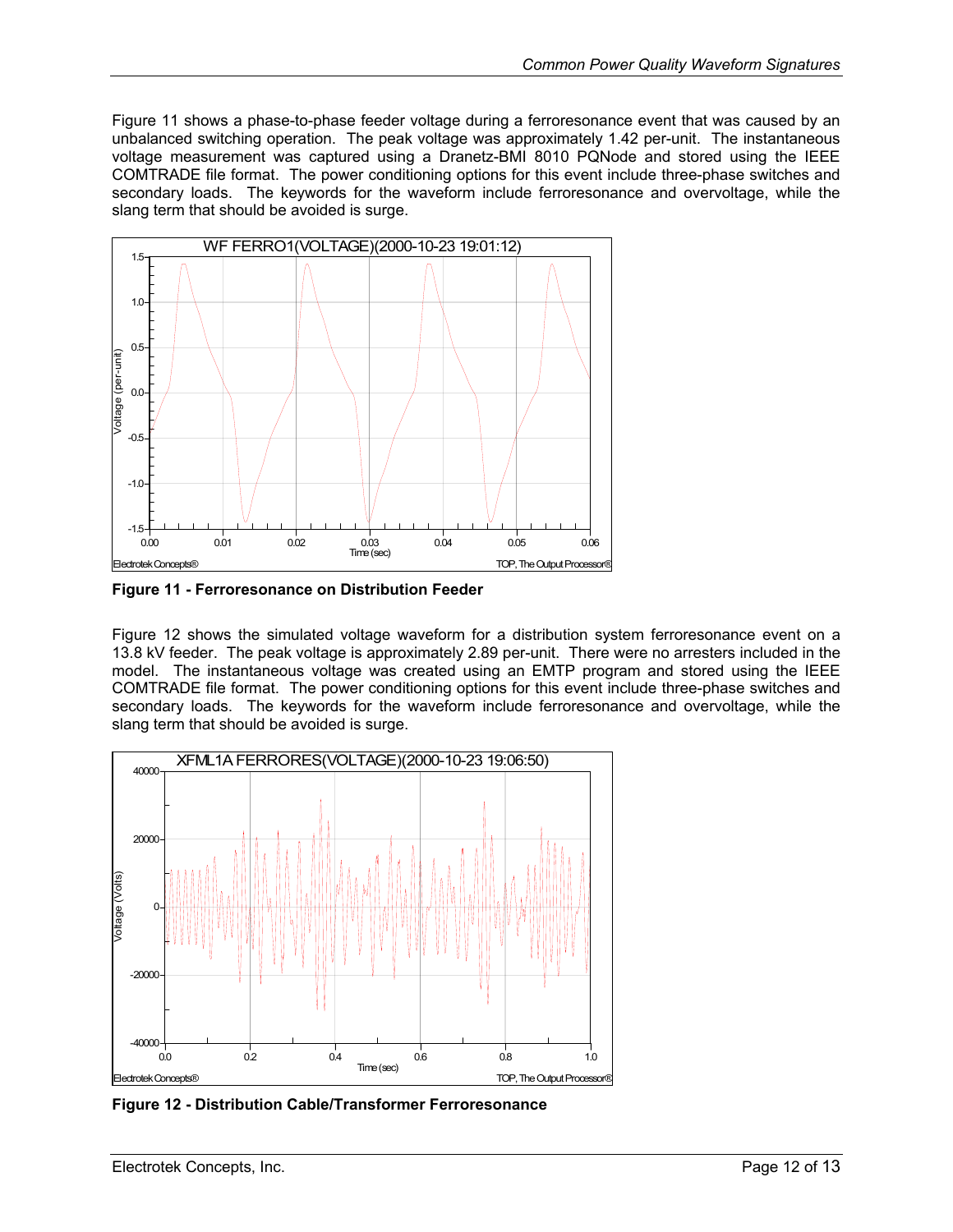<span id="page-11-0"></span>[Figure 11](#page-11-1) shows a phase-to-phase feeder voltage during a ferroresonance event that was caused by an unbalanced switching operation. The peak voltage was approximately 1.42 per-unit. The instantaneous voltage measurement was captured using a Dranetz-BMI 8010 PQNode and stored using the IEEE COMTRADE file format. The power conditioning options for this event include three-phase switches and secondary loads. The keywords for the waveform include ferroresonance and overvoltage, while the slang term that should be avoided is surge.

<span id="page-11-1"></span>

**Figure 11 - Ferroresonance on Distribution Feeder**

[Figure 12](#page-11-2) shows the simulated voltage waveform for a distribution system ferroresonance event on a 13.8 kV feeder. The peak voltage is approximately 2.89 per-unit. There were no arresters included in the model. The instantaneous voltage was created using an EMTP program and stored using the IEEE COMTRADE file format. The power conditioning options for this event include three-phase switches and secondary loads. The keywords for the waveform include ferroresonance and overvoltage, while the slang term that should be avoided is surge.

<span id="page-11-2"></span>

**Figure 12 - Distribution Cable/Transformer Ferroresonance**